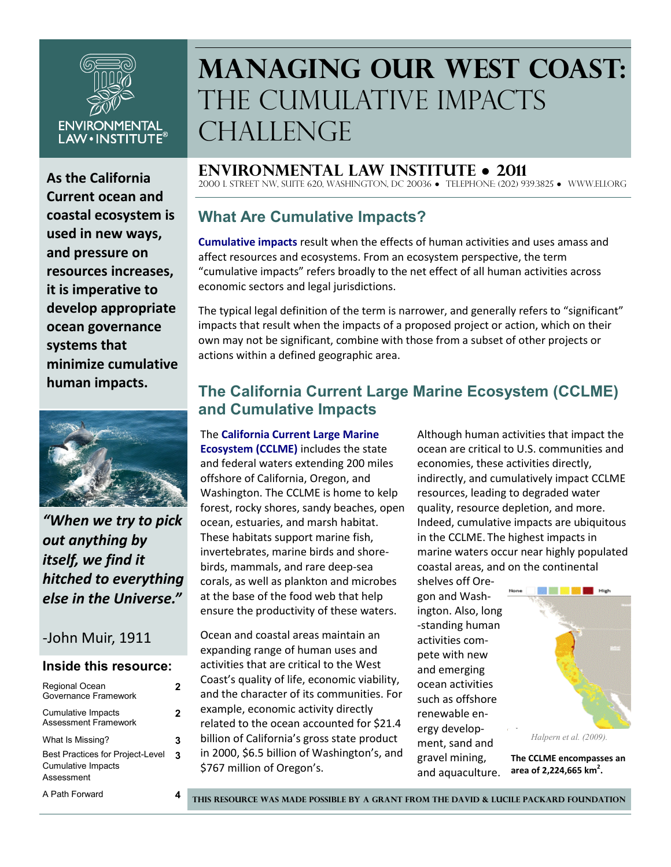

**As the California Current ocean and coastal ecosystem is used in new ways, and pressure on resources increases, it is imperative to develop appropriate ocean governance systems that minimize cumulative human impacts.**



*"When we try to pick out anything by itself, we find it hitched to everything else in the Universe."*

# -John Muir, 1911

#### **Inside this resource:**

| Regional Ocean<br>Governance Framework                                      |   |
|-----------------------------------------------------------------------------|---|
| Cumulative Impacts<br><b>Assessment Framework</b>                           | 2 |
| What Is Missing?                                                            | з |
| <b>Best Practices for Project-Level</b><br>Cumulative Impacts<br>Assessment | 3 |
| A Path Forward                                                              |   |

# **Managing Our West Coast:**  The Cumulative Impacts CHALLENGE

**Environmental Law Institute ● 2011**

2000 L Street NW, Suite 620, Washington, DC 20036 ● Telephone: (202) 939.3825 ● www.eli.org

# **What Are Cumulative Impacts?**

**Cumulative impacts** result when the effects of human activities and uses amass and affect resources and ecosystems. From an ecosystem perspective, the term "cumulative impacts" refers broadly to the net effect of all human activities across economic sectors and legal jurisdictions.

The typical legal definition of the term is narrower, and generally refers to "significant" impacts that result when the impacts of a proposed project or action, which on their own may not be significant, combine with those from a subset of other projects or actions within a defined geographic area.

# **The California Current Large Marine Ecosystem (CCLME) and Cumulative Impacts**

The **California Current Large Marine Ecosystem (CCLME)** includes the state and federal waters extending 200 miles offshore of California, Oregon, and Washington. The CCLME is home to kelp forest, rocky shores, sandy beaches, open ocean, estuaries, and marsh habitat. These habitats support marine fish, invertebrates, marine birds and shorebirds, mammals, and rare deep-sea corals, as well as plankton and microbes at the base of the food web that help ensure the productivity of these waters.

Ocean and coastal areas maintain an expanding range of human uses and activities that are critical to the West Coast's quality of life, economic viability, and the character of its communities. For example, economic activity directly related to the ocean accounted for \$21.4 billion of California's gross state product in 2000, \$6.5 billion of Washington's, and \$767 million of Oregon's.

Although human activities that impact the ocean are critical to U.S. communities and economies, these activities directly, indirectly, and cumulatively impact CCLME resources, leading to degraded water quality, resource depletion, and more. Indeed, cumulative impacts are ubiquitous in the CCLME. The highest impacts in marine waters occur near highly populated coastal areas, and on the continental

shelves off Oregon and Washington. Also, long -standing human activities compete with new and emerging ocean activities such as offshore renewable energy development, sand and gravel mining, and aquaculture.



**The CCLME encompasses an area of 2,224,665 km<sup>2</sup> .**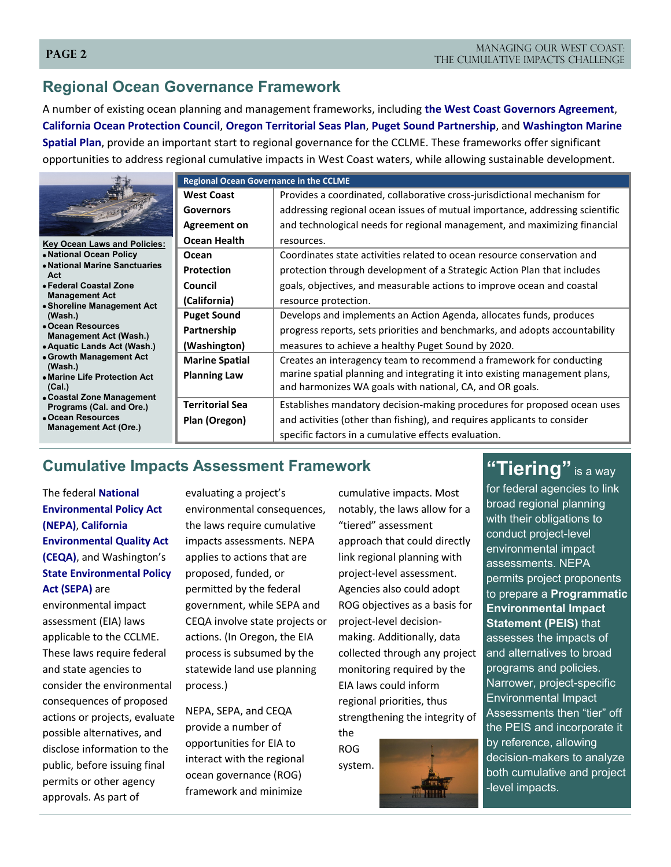### **Page 2**

# **Regional Ocean Governance Framework**

A number of existing ocean planning and management frameworks, including **the West Coast Governors Agreement**, **California Ocean Protection Council**, **Oregon Territorial Seas Plan**, **Puget Sound Partnership**, and **Washington Marine Spatial Plan**, provide an important start to regional governance for the CCLME. These frameworks offer significant opportunities to address regional cumulative impacts in West Coast waters, while allowing sustainable development.

|                                                                                           | <b>Regional Ocean Governance in the CCLME</b> |                                                                              |  |
|-------------------------------------------------------------------------------------------|-----------------------------------------------|------------------------------------------------------------------------------|--|
|                                                                                           | <b>West Coast</b>                             | Provides a coordinated, collaborative cross-jurisdictional mechanism for     |  |
|                                                                                           | <b>Governors</b>                              | addressing regional ocean issues of mutual importance, addressing scientific |  |
|                                                                                           | <b>Agreement on</b>                           | and technological needs for regional management, and maximizing financial    |  |
| <b>Key Ocean Laws and Policies:</b>                                                       | <b>Ocean Health</b>                           | resources.                                                                   |  |
| • National Ocean Policy<br>• National Marine Sanctuaries<br>Act<br>• Federal Coastal Zone | Ocean                                         | Coordinates state activities related to ocean resource conservation and      |  |
|                                                                                           | <b>Protection</b>                             | protection through development of a Strategic Action Plan that includes      |  |
|                                                                                           | Council                                       | goals, objectives, and measurable actions to improve ocean and coastal       |  |
| <b>Management Act</b><br>• Shoreline Management Act                                       | (California)                                  | resource protection.                                                         |  |
| (Wash.)                                                                                   | <b>Puget Sound</b>                            | Develops and implements an Action Agenda, allocates funds, produces          |  |
| • Ocean Resources<br><b>Management Act (Wash.)</b>                                        | Partnership                                   | progress reports, sets priorities and benchmarks, and adopts accountability  |  |
| • Aquatic Lands Act (Wash.)                                                               | (Washington)                                  | measures to achieve a healthy Puget Sound by 2020.                           |  |
| • Growth Management Act<br>(Wash.)                                                        | <b>Marine Spatial</b>                         | Creates an interagency team to recommend a framework for conducting          |  |
| • Marine Life Protection Act                                                              | <b>Planning Law</b>                           | marine spatial planning and integrating it into existing management plans,   |  |
| (Cal.)                                                                                    |                                               | and harmonizes WA goals with national, CA, and OR goals.                     |  |
| • Coastal Zone Management<br>Programs (Cal. and Ore.)                                     | <b>Territorial Sea</b>                        | Establishes mandatory decision-making procedures for proposed ocean uses     |  |
| • Ocean Resources<br><b>Management Act (Ore.)</b>                                         | Plan (Oregon)                                 | and activities (other than fishing), and requires applicants to consider     |  |
|                                                                                           |                                               | specific factors in a cumulative effects evaluation.                         |  |

# **Cumulative Impacts Assessment Framework**

The federal **National Environmental Policy Act (NEPA)**, **California Environmental Quality Act (CEQA)**, and Washington's **State Environmental Policy Act (SEPA)** are

environmental impact assessment (EIA) laws applicable to the CCLME. These laws require federal and state agencies to consider the environmental consequences of proposed actions or projects, evaluate possible alternatives, and disclose information to the public, before issuing final permits or other agency approvals. As part of

evaluating a project's environmental consequences, the laws require cumulative impacts assessments. NEPA applies to actions that are proposed, funded, or permitted by the federal government, while SEPA and CEQA involve state projects or actions. (In Oregon, the EIA process is subsumed by the statewide land use planning process.)

NEPA, SEPA, and CEQA provide a number of opportunities for EIA to interact with the regional ocean governance (ROG) framework and minimize

cumulative impacts. Most notably, the laws allow for a "tiered" assessment approach that could directly link regional planning with project-level assessment. Agencies also could adopt ROG objectives as a basis for project-level decisionmaking. Additionally, data collected through any project monitoring required by the EIA laws could inform regional priorities, thus strengthening the integrity of the

ROG system.

for federal agencies to link broad regional planning with their obligations to conduct project-level environmental impact assessments. NEPA permits project proponents to prepare a **Programmatic Environmental Impact Statement (PEIS)** that assesses the impacts of and alternatives to broad programs and policies. Narrower, project-specific Environmental Impact Assessments then "tier" off the PEIS and incorporate it by reference, allowing decision-makers to analyze both cumulative and project -level impacts.

"Tiering" is a way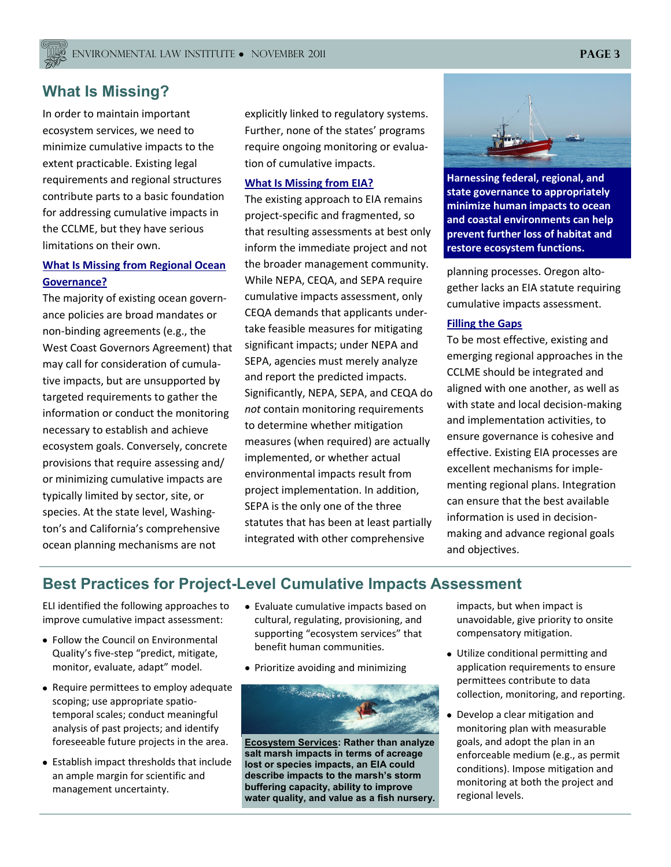# **What Is Missing?**

In order to maintain important ecosystem services, we need to minimize cumulative impacts to the extent practicable. Existing legal requirements and regional structures contribute parts to a basic foundation for addressing cumulative impacts in the CCLME, but they have serious limitations on their own.

## **What Is Missing from Regional Ocean Governance?**

The majority of existing ocean governance policies are broad mandates or non-binding agreements (e.g., the West Coast Governors Agreement) that may call for consideration of cumulative impacts, but are unsupported by targeted requirements to gather the information or conduct the monitoring necessary to establish and achieve ecosystem goals. Conversely, concrete provisions that require assessing and/ or minimizing cumulative impacts are typically limited by sector, site, or species. At the state level, Washington's and California's comprehensive ocean planning mechanisms are not

explicitly linked to regulatory systems. Further, none of the states' programs require ongoing monitoring or evaluation of cumulative impacts.

#### **What Is Missing from EIA?**

The existing approach to EIA remains project-specific and fragmented, so that resulting assessments at best only inform the immediate project and not the broader management community. While NEPA, CEQA, and SEPA require cumulative impacts assessment, only CEQA demands that applicants undertake feasible measures for mitigating significant impacts; under NEPA and SEPA, agencies must merely analyze and report the predicted impacts. Significantly, NEPA, SEPA, and CEQA do *not* contain monitoring requirements to determine whether mitigation measures (when required) are actually implemented, or whether actual environmental impacts result from project implementation. In addition, SEPA is the only one of the three statutes that has been at least partially integrated with other comprehensive



**Harnessing federal, regional, and state governance to appropriately minimize human impacts to ocean and coastal environments can help prevent further loss of habitat and restore ecosystem functions.** 

planning processes. Oregon altogether lacks an EIA statute requiring cumulative impacts assessment.

#### **Filling the Gaps**

To be most effective, existing and emerging regional approaches in the CCLME should be integrated and aligned with one another, as well as with state and local decision-making and implementation activities, to ensure governance is cohesive and effective. Existing EIA processes are excellent mechanisms for implementing regional plans. Integration can ensure that the best available information is used in decisionmaking and advance regional goals and objectives.

# **Best Practices for Project-Level Cumulative Impacts Assessment**

ELI identified the following approaches to improve cumulative impact assessment:

- Follow the Council on Environmental Quality's five-step "predict, mitigate, monitor, evaluate, adapt" model.
- Require permittees to employ adequate scoping; use appropriate spatiotemporal scales; conduct meaningful analysis of past projects; and identify foreseeable future projects in the area.
- Establish impact thresholds that include an ample margin for scientific and management uncertainty.
- Evaluate cumulative impacts based on cultural, regulating, provisioning, and supporting "ecosystem services" that benefit human communities.
- Prioritize avoiding and minimizing



**Ecosystem Services: Rather than analyze salt marsh impacts in terms of acreage lost or species impacts, an EIA could describe impacts to the marsh's storm buffering capacity, ability to improve water quality, and value as a fish nursery.** 

impacts, but when impact is unavoidable, give priority to onsite compensatory mitigation.

- Utilize conditional permitting and application requirements to ensure permittees contribute to data collection, monitoring, and reporting.
- Develop a clear mitigation and monitoring plan with measurable goals, and adopt the plan in an enforceable medium (e.g., as permit conditions). Impose mitigation and monitoring at both the project and regional levels.